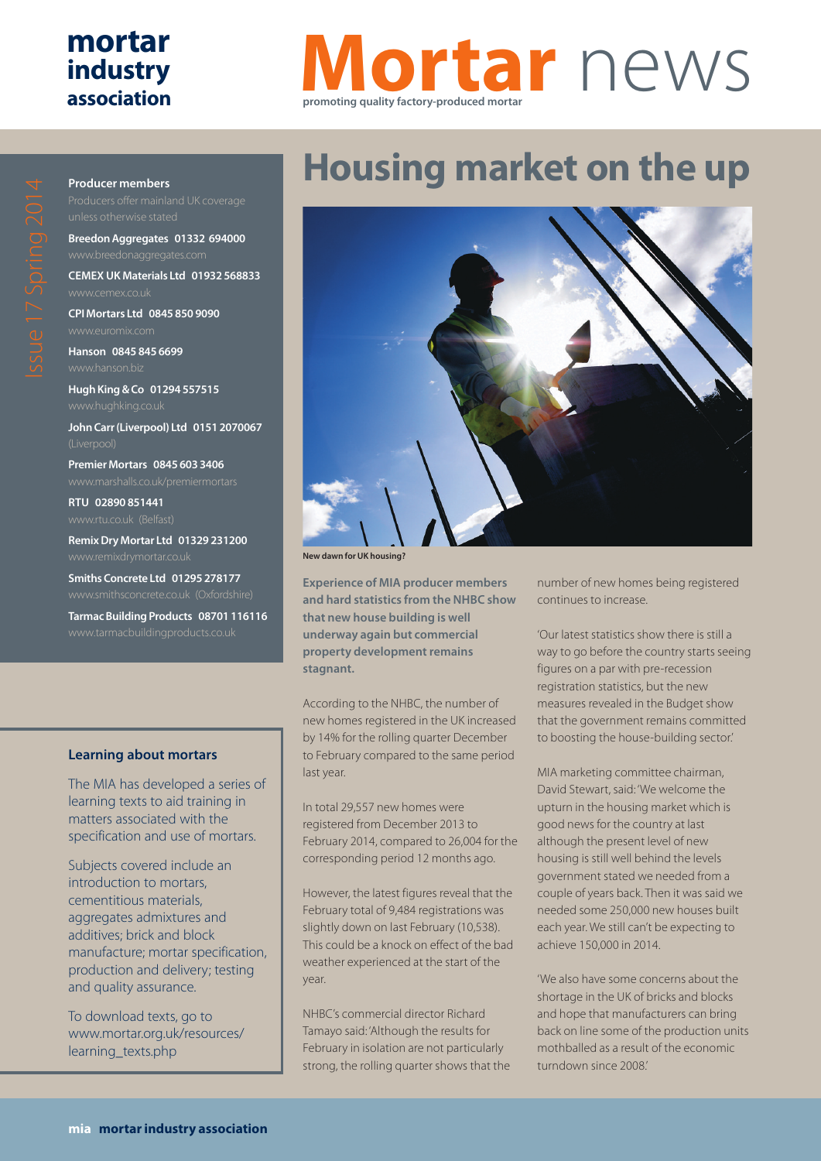### **mortar industry association**

## **Mortar** news **promoting quality factory-produced mortar**

# **Housing market on the up**



**New dawn for UK housing?**

**Experience of MIA producer members and hard statistics from the NHBC show that new house building is well underway again but commercial property development remains stagnant.**

According to the NHBC, the number of new homes registered in the UK increased by 14% for the rolling quarter December to February compared to the same period last year.

In total 29,557 new homes were registered from December 2013 to February 2014, compared to 26,004 for the corresponding period 12 months ago.

However, the latest figures reveal that the February total of 9,484 registrations was slightly down on last February (10,538). This could be a knock on effect of the bad weather experienced at the start of the year.

NHBC's commercial director Richard Tamayo said: 'Although the results for February in isolation are not particularly strong, the rolling quarter shows that the number of new homes being registered continues to increase.

'Our latest statistics show there is still a way to go before the country starts seeing figures on a par with pre-recession registration statistics, but the new measures revealed in the Budget show that the government remains committed to boosting the house-building sector.'

MIA marketing committee chairman, David Stewart, said: 'We welcome the upturn in the housing market which is good news for the country at last although the present level of new housing is still well behind the levels government stated we needed from a couple of years back. Then it was said we needed some 250,000 new houses built each year. We still can't be expecting to achieve 150,000 in 2014.

'We also have some concerns about the shortage in the UK of bricks and blocks and hope that manufacturers can bring back on line some of the production units mothballed as a result of the economic turndown since 2008.'

#### **Producer members**

**Breedon Aggregates 01332 694000**

**CEMEX UK Materials Ltd 01932 568833**

**CPI Mortars Ltd 0845 850 9090**

**Hanson 0845 845 6699**

**Hugh King & Co 01294 557515**

**John Carr (Liverpool) Ltd 0151 2070067**

**Premier Mortars 0845 603 3406**

**RTU 02890 851441**

**Remix Dry Mortar Ltd 01329 231200**

**Smiths Concrete Ltd 01295 278177**

**Tarmac Building Products 08701 116116**

#### **Learning about mortars**

The MIA has developed a series of learning texts to aid training in matters associated with the specification and use of mortars.

Subjects covered include an introduction to mortars, cementitious materials, aggregates admixtures and additives; brick and block manufacture; mortar specification, production and delivery; testing and quality assurance.

To download texts, go to www.mortar.org.uk/resources/ learning\_texts.php

 $\bigcirc$